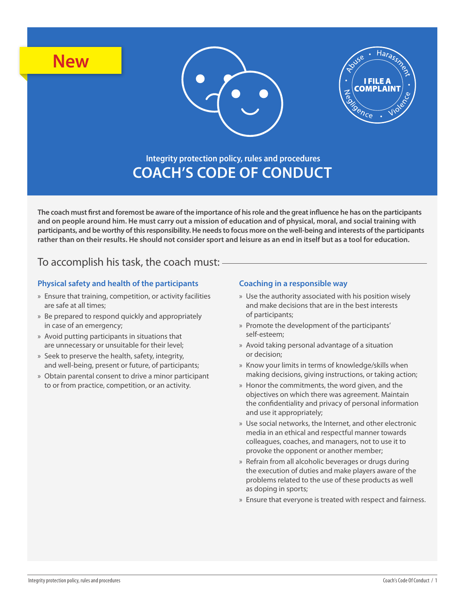





# **Integrity protection policy, rules and procedures COACH'S CODE OF CONDUCT**

**The coach must first and foremost be aware of the importance of his role and the great influence he has on the participants and on people around him. He must carry out a mission of education and of physical, moral, and social training with participants, and be worthy of this responsibility. He needs to focus more on the well-being and interests of the participants rather than on their results. He should not consider sport and leisure as an end in itself but as a tool for education.** 

## To accomplish his task, the coach must:

### **Physical safety and health of the participants**

- » Ensure that training, competition, or activity facilities are safe at all times;
- » Be prepared to respond quickly and appropriately in case of an emergency;
- » Avoid putting participants in situations that are unnecessary or unsuitable for their level;
- » Seek to preserve the health, safety, integrity, and well-being, present or future, of participants;
- » Obtain parental consent to drive a minor participant to or from practice, competition, or an activity.

#### **Coaching in a responsible way**

- » Use the authority associated with his position wisely and make decisions that are in the best interests of participants;
- » Promote the development of the participants' self-esteem;
- » Avoid taking personal advantage of a situation or decision;
- » Know your limits in terms of knowledge/skills when making decisions, giving instructions, or taking action;
- » Honor the commitments, the word given, and the objectives on which there was agreement. Maintain the confidentiality and privacy of personal information and use it appropriately;
- » Use social networks, the Internet, and other electronic media in an ethical and respectful manner towards colleagues, coaches, and managers, not to use it to provoke the opponent or another member;
- » Refrain from all alcoholic beverages or drugs during the execution of duties and make players aware of the problems related to the use of these products as well as doping in sports;
- » Ensure that everyone is treated with respect and fairness.